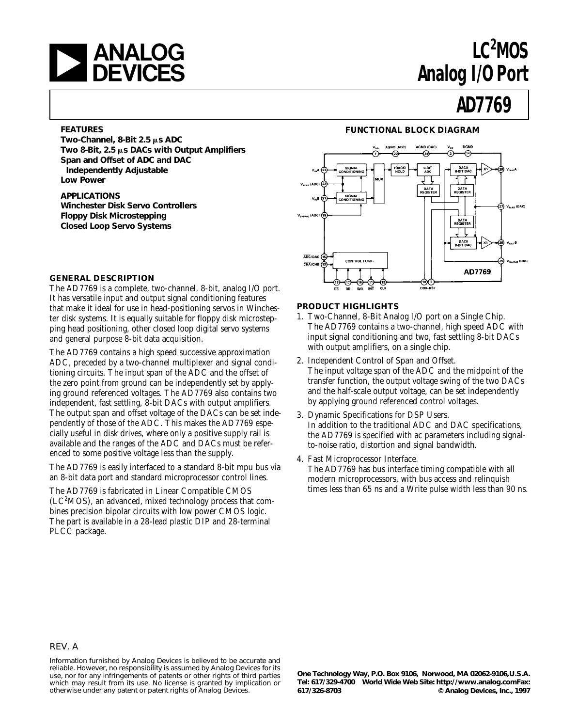# **LANALOG**<br>DEVICES

# LC<sup>2</sup>MOS **Analog I/O Port**

# **AD7769**

#### **FEATURES**

Two-Channel, 8-Bit 2.5  $\mu$ s ADC **Two 8-Bit, 2.5** m**s DACs with Output Amplifiers Span and Offset of ADC and DAC Independently Adjustable Low Power**

#### **APPLICATIONS Winchester Disk Servo Controllers Floppy Disk Microstepping Closed Loop Servo Systems**

#### **FUNCTIONAL BLOCK DIAGRAM**



#### **GENERAL DESCRIPTION**

The AD7769 is a complete, two-channel, 8-bit, analog I/O port. It has versatile input and output signal conditioning features that make it ideal for use in head-positioning servos in Winchester disk systems. It is equally suitable for floppy disk microstepping head positioning, other closed loop digital servo systems and general purpose 8-bit data acquisition.

The AD7769 contains a high speed successive approximation ADC, preceded by a two-channel multiplexer and signal conditioning circuits. The input span of the ADC and the offset of the zero point from ground can be independently set by applying ground referenced voltages. The AD7769 also contains two independent, fast settling, 8-bit DACs with output amplifiers. The output span and offset voltage of the DACs can be set independently of those of the ADC. This makes the AD7769 especially useful in disk drives, where only a positive supply rail is available and the ranges of the ADC and DACs must be referenced to some positive voltage less than the supply.

The AD7769 is easily interfaced to a standard 8-bit mpu bus via an 8-bit data port and standard microprocessor control lines.

The AD7769 is fabricated in Linear Compatible CMOS  $(LC<sup>2</sup>MOS)$ , an advanced, mixed technology process that combines precision bipolar circuits with low power CMOS logic. The part is available in a 28-lead plastic DIP and 28-terminal PLCC package.

#### **PRODUCT HIGHLIGHTS**

- 1. Two-Channel, 8-Bit Analog I/O port on a Single Chip. The AD7769 contains a two-channel, high speed ADC with input signal conditioning and two, fast settling 8-bit DACs with output amplifiers, on a single chip.
- 2. Independent Control of Span and Offset. The input voltage span of the ADC and the midpoint of the transfer function, the output voltage swing of the two DACs and the half-scale output voltage, can be set independently by applying ground referenced control voltages.
- 3. Dynamic Specifications for DSP Users. In addition to the traditional ADC and DAC specifications, the AD7769 is specified with ac parameters including signalto-noise ratio, distortion and signal bandwidth.
- 4. Fast Microprocessor Interface.

The AD7769 has bus interface timing compatible with all modern microprocessors, with bus access and relinquish times less than 65 ns and a Write pulse width less than 90 ns.

#### REV. A

Information furnished by Analog Devices is believed to be accurate and reliable. However, no responsibility is assumed by Analog Devices for its use, nor for any infringements of patents or other rights of third parties which may result from its use. No license is granted by implication or otherwise under any patent or patent rights of Analog Devices.

**One Technology Way, P.O. Box 9106, Norwood, MA 02062-9106,U.S.A. Tel: 617/329-4700 World Wide Web Site: http://www.analog.comFax: 617/326-8703 © Analog Devices, Inc., 1997**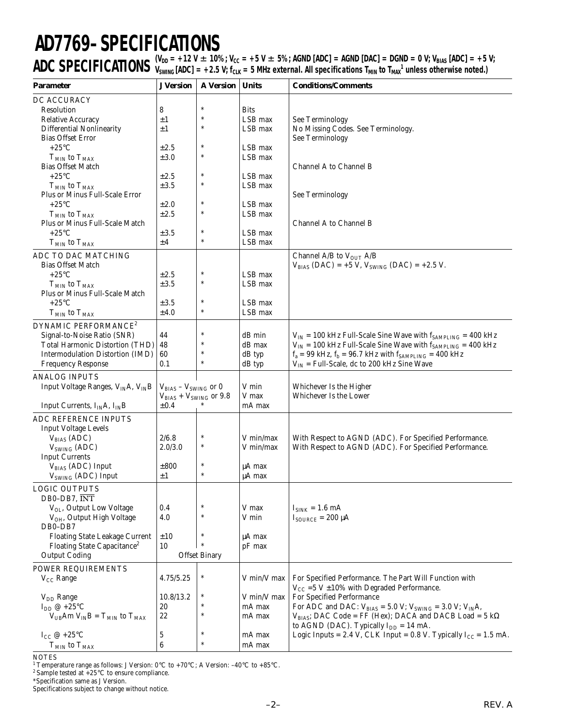# **AD7769–SPECIFICATIONS**

 $\mathsf{ADC}$   $\mathsf{SPECIFICATIONS}\xspace$   $(\mathsf{V_{DD}}=+12 \text{ V}\pm10\%; \mathsf{V_{CC}}=+5 \text{ V}\pm5\%;$  AGND [ADC] = AGND [DAC] = DGND = 0 V; V<sub>BIAS</sub> [ADC] = +5 V;<br> $\mathsf{ADC}$   $\mathsf{SPECIFICATIONS}\xspace$   $\mathsf{V_{SWING}}$  [ADC] = +2.5 V; f<sub>CLK</sub> = 5 MHz external. All specif  $V_{SWING}$  [ADC]  $= +2.5$  V; f<sub>CLK</sub>  $= 5$  MHz external. All specifications T<sub>MIN</sub> to T<sub>MAX</sub><sup>1</sup> unless otherwise noted.)

| <b>Parameter</b>                                 | <b>J</b> Version              | <b>A</b> Version     | <b>Units</b>       | <b>Conditions/Comments</b>                                                                                                              |
|--------------------------------------------------|-------------------------------|----------------------|--------------------|-----------------------------------------------------------------------------------------------------------------------------------------|
| DC ACCURACY                                      |                               |                      |                    |                                                                                                                                         |
| Resolution                                       | 8                             | $\ast$               | <b>Bits</b>        |                                                                                                                                         |
| <b>Relative Accuracy</b>                         | ±1                            | *                    | LSB max            | <b>See Terminology</b>                                                                                                                  |
| <b>Differential Nonlinearity</b>                 | ±1                            | $\ast$               | LSB max            | No Missing Codes. See Terminology.                                                                                                      |
| <b>Bias Offset Error</b>                         |                               |                      |                    | <b>See Terminology</b>                                                                                                                  |
| $+25^{\circ}$ C                                  | $\pm 2.5$                     | $\ast$               | LSB max            |                                                                                                                                         |
| $TMIN$ to $TMAX$                                 | ±3.0                          | $\ast$               | LSB max            |                                                                                                                                         |
| <b>Bias Offset Match</b>                         |                               |                      |                    | Channel A to Channel B                                                                                                                  |
| $+25^{\circ}C$                                   | ±2.5                          | $\ast$               | LSB max            |                                                                                                                                         |
| $T_{MIN}$ to $T_{MAX}$                           | ±3.5                          | $\ast$               | LSB max            |                                                                                                                                         |
| Plus or Minus Full-Scale Error                   |                               |                      |                    | See Terminology                                                                                                                         |
| $+25^{\circ}C$                                   | ±2.0                          | $\ast$               | LSB max            |                                                                                                                                         |
| $T_{MIN}$ to $T_{MAX}$                           | ±2.5                          | $\ast$               | LSB max            |                                                                                                                                         |
| Plus or Minus Full-Scale Match                   |                               |                      |                    | Channel A to Channel B                                                                                                                  |
| $+25^{\circ}C$                                   | $\pm 3.5$                     | $\ast$               | LSB max            |                                                                                                                                         |
| $T_{MIN}$ to $T_{MAX}$                           | ±4                            | $\ast$               | LSB max            |                                                                                                                                         |
| ADC TO DAC MATCHING                              |                               |                      |                    | Channel A/B to $V_{OUT}$ A/B                                                                                                            |
| <b>Bias Offset Match</b>                         |                               |                      |                    | $V_{BIAS} (DAC) = +5 V, V_{SWING} (DAC) = +2.5 V.$                                                                                      |
| $+25^{\circ}C$                                   | $\pm 2.5$                     | $\ast$               | LSB max            |                                                                                                                                         |
| $T_{MIN}$ to $T_{MAX}$                           | ±3.5                          | $\ast$               | LSB max            |                                                                                                                                         |
| Plus or Minus Full-Scale Match                   |                               |                      |                    |                                                                                                                                         |
| $+25^{\circ}$ C                                  | ±3.5                          | $\ast$               | LSB max            |                                                                                                                                         |
| $T_{MIN}$ to $T_{MAX}$                           | ±4.0                          | $\ast$               | LSB max            |                                                                                                                                         |
| DYNAMIC PERFORMANCE <sup>2</sup>                 |                               |                      |                    |                                                                                                                                         |
| Signal-to-Noise Ratio (SNR)                      | 44                            | $\ast$               | dB min             | $V_{IN}$ = 100 kHz Full-Scale Sine Wave with $f_{SAMPLING}$ = 400 kHz                                                                   |
| <b>Total Harmonic Distortion (THD)</b>           | 48                            | ∗                    | dB max             |                                                                                                                                         |
| Intermodulation Distortion (IMD)                 | 60                            | $\ast$               |                    | $V_{IN}$ = 100 kHz Full-Scale Sine Wave with $f_{SAMPLING}$ = 400 kHz<br>$f_a = 99$ kHz, $f_b = 96.7$ kHz with $f_{SAMPLING} = 400$ kHz |
| <b>Frequency Response</b>                        | 0.1                           | $\ast$               | dB typ<br>dB typ   | $V_{IN}$ = Full-Scale, dc to 200 kHz Sine Wave                                                                                          |
|                                                  |                               |                      |                    |                                                                                                                                         |
| <b>ANALOG INPUTS</b>                             |                               |                      |                    |                                                                                                                                         |
| Input Voltage Ranges, $V_{IN}A$ , $V_{IN}B$      | $V_{BIAS} - V_{SWING}$ or 0   |                      | V min              | Whichever Is the Higher                                                                                                                 |
|                                                  | $V_{BIAS} + V_{SWING}$ or 9.8 |                      | V max              | Whichever Is the Lower                                                                                                                  |
| Input Currents, $I_{IN}A$ , $I_{IN}B$            | $\pm 0.4$                     |                      | mA max             |                                                                                                                                         |
| ADC REFERENCE INPUTS                             |                               |                      |                    |                                                                                                                                         |
| <b>Input Voltage Levels</b>                      |                               |                      |                    |                                                                                                                                         |
| $V_{BIAS}$ (ADC)                                 | 2/6.8                         | $\ast$               | V min/max          | With Respect to AGND (ADC). For Specified Performance.                                                                                  |
| V <sub>SWING</sub> (ADC)                         | 2.0/3.0                       | $\ast$               | V min/max          | With Respect to AGND (ADC). For Specified Performance.                                                                                  |
| <b>Input Currents</b>                            |                               |                      |                    |                                                                                                                                         |
| $V_{BIAS}$ (ADC) Input                           | ±800                          | $\ast$               | µA max             |                                                                                                                                         |
| $V_{SWING}$ (ADC) Input                          | ±1                            | $\ast$               | µA max             |                                                                                                                                         |
| <b>LOGIC OUTPUTS</b>                             |                               |                      |                    |                                                                                                                                         |
| DB0-DB7, INT                                     |                               |                      |                    |                                                                                                                                         |
| V <sub>OL</sub> , Output Low Voltage             | 0.4                           |                      | V max              | $I_{SINK} = 1.6 \text{ mA}$                                                                                                             |
| V <sub>OH</sub> , Output High Voltage            | 4.0                           | $\ast$               | V min              | $I_{\text{SOLRCE}} = 200 \mu A$                                                                                                         |
| DB0-DB7                                          |                               |                      |                    |                                                                                                                                         |
| <b>Floating State Leakage Current</b>            | ±10                           | $\ast$               | μA max             |                                                                                                                                         |
| Floating State Capacitance <sup>2</sup>          | 10                            | $\ast$               | $pF$ max           |                                                                                                                                         |
| <b>Output Coding</b>                             |                               | <b>Offset Binary</b> |                    |                                                                                                                                         |
| POWER REQUIREMENTS                               |                               |                      |                    |                                                                                                                                         |
|                                                  | 4.75/5.25                     | $\ast$               | V min/V max        |                                                                                                                                         |
| $V_{CC}$ Range                                   |                               |                      |                    | For Specified Performance. The Part Will Function with<br>$V_{CC}$ =5 V $\pm$ 10% with Degraded Performance.                            |
|                                                  |                               |                      | V min/V max        | For Specified Performance                                                                                                               |
| V <sub>DD</sub> Range<br>$I_{DD} \omega + 25$ °C | 10.8/13.2<br>20               | $\ast$               | mA max             | For ADC and DAC: $V_{BIAS} = 5.0 V$ ; $V_{SWING} = 3.0 V$ ; $V_{IN}A$ ,                                                                 |
| $V_{UB}Am V_{IN}B = T_{MIN}$ to $T_{MAX}$        | 22                            | $\ast$               | mA max             | $V_{BIAS}$ ; DAC Code = FF (Hex); DACA and DACB Load = 5 k $\Omega$                                                                     |
|                                                  |                               |                      |                    | to AGND (DAC). Typically $I_{DD} = 14$ mA.                                                                                              |
| I <sub>CC</sub> @ +25 $\rm{^{\circ}C}$           | 5                             | $\ast$               | mA max             | Logic Inputs = 2.4 V, CLK Input = 0.8 V. Typically $I_{CC}$ = 1.5 mA.                                                                   |
|                                                  | $\boldsymbol{6}$              | $\ast$               | $\rm mA$ $\rm max$ |                                                                                                                                         |
| $TMIN$ to $TMAX$                                 |                               |                      |                    |                                                                                                                                         |

NOTES 1 Temperature range as follows: J Version: 0°C to +70°C; A Version: –40°C to +85°C.

<sup>2</sup> Sample tested at  $+25^{\circ}$ C to ensure compliance.

\*Specification same as J Version.

Specifications subject to change without notice.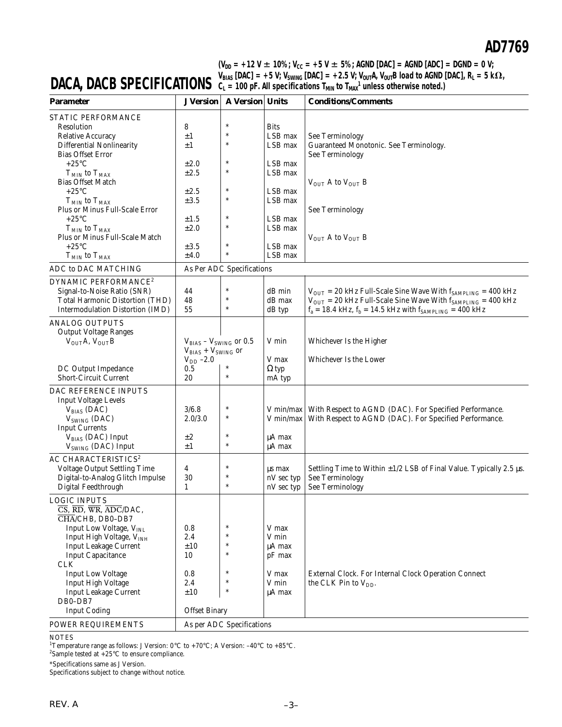(V<sub>DD</sub> = +12 V  $\pm$  10%; V<sub>CC</sub> = +5 V  $\pm$  5%; AGND [DAC] = AGND [ADC] = DGND = 0 V;  $\bm{V_{BIAS}}$  [DAC] = +5 V;  $\bm{V_{SWING}}$  [DAC] = +2.5 V;  $\bm{V_{OUT}}$ A,  $\bm{V_{OUT}}$ B load to AGND [DAC], R<sub>L</sub> = 5 k $\bm{\Omega}$ ,  $C_L$  = 100 pF. All specifications  $T_{MIN}$  to  $T_{MAX}$ <sup>1</sup> unless otherwise noted.)

# **DACA, DACB SPECIFICATIONS**

| <b>Parameter</b>                                                                                         | <b>J</b> Version              | <b>A Version Units</b>    |                    | <b>Conditions/Comments</b>                                                          |
|----------------------------------------------------------------------------------------------------------|-------------------------------|---------------------------|--------------------|-------------------------------------------------------------------------------------|
| STATIC PERFORMANCE                                                                                       |                               |                           |                    |                                                                                     |
| Resolution                                                                                               | 8                             | $\ast$                    | <b>Bits</b>        |                                                                                     |
| <b>Relative Accuracy</b>                                                                                 | ±1                            | $\ast$                    | LSB max            | See Terminology                                                                     |
| <b>Differential Nonlinearity</b>                                                                         | $\pm 1$                       | $\ast$                    | LSB max            | Guaranteed Monotonic. See Terminology.                                              |
| <b>Bias Offset Error</b>                                                                                 |                               |                           |                    | See Terminology                                                                     |
| $+25^{\circ}$ C                                                                                          | ±2.0                          | $\ast$                    | LSB max            |                                                                                     |
| $T_{MIN}$ to $T_{MAX}$                                                                                   | $\pm 2.5$                     | $\ast$                    | LSB max            |                                                                                     |
| <b>Bias Offset Match</b>                                                                                 |                               |                           |                    | $V_{\text{OUT}}$ A to $V_{\text{OUT}}$ B                                            |
| $+25^{\circ}C$                                                                                           | ±2.5                          | $\ast$                    | LSB max            |                                                                                     |
| $T_{MIN}$ to $T_{MAX}$                                                                                   | $\pm 3.5$                     | $\ast$                    | LSB max            |                                                                                     |
| Plus or Minus Full-Scale Error                                                                           |                               |                           |                    | See Terminology                                                                     |
| $+25^{\circ}$ C                                                                                          | ±1.5                          | $\ast$<br>$\ast$          | LSB max            |                                                                                     |
| $\rm T_{MIN}$ to $\rm T_{MAX}$                                                                           | ±2.0                          |                           | LSB max            |                                                                                     |
| Plus or Minus Full-Scale Match                                                                           |                               | $\ast$                    |                    | $V_{\text{OUT}}$ A to $V_{\text{OUT}}$ B                                            |
| $+25^{\circ}$ C                                                                                          | $\pm 3.5$                     |                           | LSB max<br>LSB max |                                                                                     |
| $T_{MIN}$ to $T_{MAX}$                                                                                   | ±4.0                          |                           |                    |                                                                                     |
| ADC to DAC MATCHING                                                                                      |                               | As Per ADC Specifications |                    |                                                                                     |
| DYNAMIC PERFORMANCE <sup>2</sup>                                                                         |                               |                           |                    |                                                                                     |
| Signal-to-Noise Ratio (SNR)                                                                              | 44                            | $\ast$                    | dB min             | $V_{\text{OUT}}$ = 20 kHz Full-Scale Sine Wave With $f_{\text{SAMPLING}}$ = 400 kHz |
| Total Harmonic Distortion (THD)                                                                          | 48                            | $\ast$                    | dB max             | $V_{\text{OUT}}$ = 20 kHz Full-Scale Sine Wave With $f_{\text{SAMPLING}}$ = 400 kHz |
| Intermodulation Distortion (IMD)                                                                         | 55                            | $\ast$                    | dB typ             | $f_a = 18.4$ kHz, $f_b = 14.5$ kHz with $f_{SAMPLING} = 400$ kHz                    |
| <b>ANALOG OUTPUTS</b>                                                                                    |                               |                           |                    |                                                                                     |
| <b>Output Voltage Ranges</b>                                                                             |                               |                           |                    |                                                                                     |
| $V_{OUT}A, V_{OUT}B$                                                                                     | $V_{BIAS} - V_{SWING}$ or 0.5 |                           | V min              | Whichever Is the Higher                                                             |
|                                                                                                          | $V_{BIAS} + V_{SWING}$ or     |                           |                    |                                                                                     |
|                                                                                                          | $V_{DD}$ -2.0                 |                           | V max              | Whichever Is the Lower                                                              |
| DC Output Impedance                                                                                      | 0.5                           |                           | $\Omega$ typ       |                                                                                     |
| <b>Short-Circuit Current</b>                                                                             | 20                            | $\ast$                    | mA typ             |                                                                                     |
| DAC REFERENCE INPUTS                                                                                     |                               |                           |                    |                                                                                     |
| <b>Input Voltage Levels</b>                                                                              |                               |                           |                    |                                                                                     |
| $V_{BIAS}$ (DAC)                                                                                         | 3/6.8                         | $\ast$                    | V min/max $ $      | With Respect to AGND (DAC). For Specified Performance.                              |
| $V_{SWING}$ (DAC)                                                                                        | 2.0/3.0                       | $\ast$                    | V min/max          | With Respect to AGND (DAC). For Specified Performance.                              |
| <b>Input Currents</b>                                                                                    |                               |                           |                    |                                                                                     |
| V <sub>BIAS</sub> (DAC) Input                                                                            | $\pm 2$                       | $\ast$                    | $\mu A$ max        |                                                                                     |
| V <sub>SWING</sub> (DAC) Input                                                                           | $\pm 1$                       | $\ast$                    | $\mu A$ max        |                                                                                     |
| AC CHARACTERISTICS <sup>2</sup>                                                                          |                               |                           |                    |                                                                                     |
| <b>Voltage Output Settling Time</b>                                                                      | 4                             | $\ast$                    | us max             | Settling Time to Within $\pm 1/2$ LSB of Final Value. Typically 2.5 $\mu$ s.        |
| Digital-to-Analog Glitch Impulse                                                                         | 30                            | $\ast$                    | nV sec typ         | <b>See Terminology</b>                                                              |
| Digital Feedthrough                                                                                      | $\mathbf{1}$                  | $\ast$                    | nV sec typ         | <b>See Terminology</b>                                                              |
| <b>LOGIC INPUTS</b>                                                                                      |                               |                           |                    |                                                                                     |
| $\overline{\text{CS}}$ , $\overline{\text{RD}}$ , $\overline{\text{WR}}$ , $\overline{\text{ADC}}$ /DAC, |                               |                           |                    |                                                                                     |
| CHA/CHB, DB0-DB7                                                                                         |                               |                           |                    |                                                                                     |
| Input Low Voltage, VINL                                                                                  | 0.8                           | $\ast$                    | V max              |                                                                                     |
| Input High Voltage, V <sub>INH</sub>                                                                     | 2.4                           | $\ast$                    | V min              |                                                                                     |
| <b>Input Leakage Current</b>                                                                             | $\pm10$                       | $\ast$                    | $\mu A$ max        |                                                                                     |
| <b>Input Capacitance</b>                                                                                 | 10                            | $\ast$                    | pF max             |                                                                                     |
| <b>CLK</b>                                                                                               |                               |                           |                    |                                                                                     |
| <b>Input Low Voltage</b>                                                                                 | 0.8                           | $\ast$                    | V max              | External Clock. For Internal Clock Operation Connect                                |
| <b>Input High Voltage</b>                                                                                | 2.4                           | $\ast$                    | V min              | the CLK Pin to $V_{DD}$ .                                                           |
| <b>Input Leakage Current</b>                                                                             | ±10                           | $\ast$                    | $\mu A$ max        |                                                                                     |
| DB0-DB7                                                                                                  |                               |                           |                    |                                                                                     |
| <b>Input Coding</b>                                                                                      | <b>Offset Binary</b>          |                           |                    |                                                                                     |
| POWER REQUIREMENTS                                                                                       |                               | As per ADC Specifications |                    |                                                                                     |

#### NOTES

<sup>1</sup>Temperature range as follows: J Version: 0°C to +70°C; A Version: −40°C to +85°C.<br><sup>2</sup>Sample tested at +25°C to ensure compliance.

\*Specifications same as J Version.

Specifications subject to change without notice.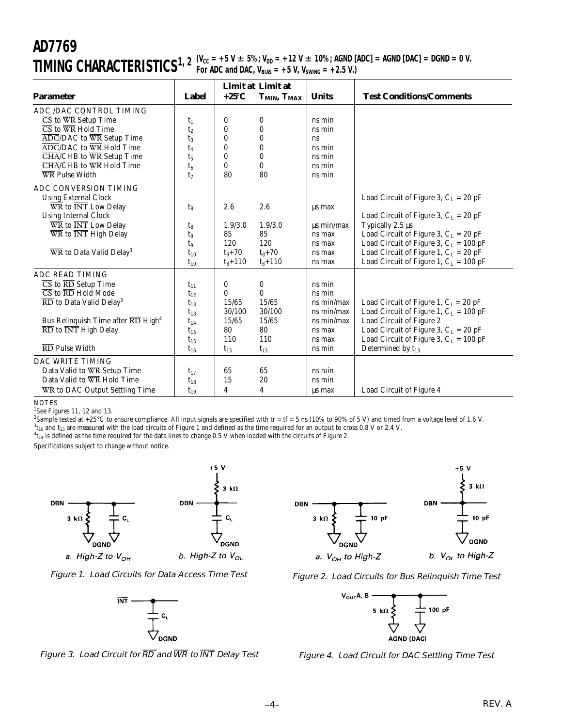# **AD7769**  $\prod \text{MING}$   $\text{CHARACTERISTICS}^{1, 2}$   $\frac{\text{(V}_{\text{CC}} = +5 \text{ V} \pm 5\%; \text{V}_{\text{DD}} = +12 \text{ V} \pm 10\%; \text{AGND [ADC]} = \text{AGND [DAC]} = \text{DGND} = 0 \text{ V}.$

| <b>Parameter</b>                                                                                                                                                                                                                                                                                                                                                                                                                                      | Label                                                                                        | $+25^{\circ}C$                                                     | Limit at Limit at<br>T <sub>MIN</sub> , T <sub>MAX</sub>           | <b>Units</b>                                                                             | <b>Test Conditions/Comments</b>                                                                                                                                                                                                                                                      |
|-------------------------------------------------------------------------------------------------------------------------------------------------------------------------------------------------------------------------------------------------------------------------------------------------------------------------------------------------------------------------------------------------------------------------------------------------------|----------------------------------------------------------------------------------------------|--------------------------------------------------------------------|--------------------------------------------------------------------|------------------------------------------------------------------------------------------|--------------------------------------------------------------------------------------------------------------------------------------------------------------------------------------------------------------------------------------------------------------------------------------|
| ADC /DAC CONTROL TIMING<br>$\overline{\text{CS}}$ to $\overline{\text{WR}}$ Setup Time<br>$\overline{\text{CS}}$ to $\overline{\text{WR}}$ Hold Time<br>$\overline{\rm ADC}/\rm DAC$ to $\overline{\rm WR}$ Setup Time<br>$\overline{\text{ADC}}$ /DAC to $\overline{\text{WR}}$ Hold Time<br>$\overline{\text{CHA}}$ /CHB to $\overline{\text{WR}}$ Setup Time<br>$\overline{\text{CHA}}$ /CHB to $\overline{\text{WR}}$ Hold Time<br>WR Pulse Width | $t_1$<br>t <sub>2</sub><br>$t_3$<br>$t_4$<br>t <sub>5</sub><br>$t_6$<br>$t_7$                | 0<br>0<br>0<br>0<br>0<br>$\bf{0}$<br>80                            | $\bf{0}$<br>$\bf{0}$<br>$\bf{0}$<br>$\bf{0}$<br>0<br>0<br>80       | ns min<br>ns min<br>ns<br>ns min<br>ns min<br>ns min<br>ns min                           |                                                                                                                                                                                                                                                                                      |
| ADC CONVERSION TIMING<br><b>Using External Clock</b><br>$\overline{\text{WR}}$ to $\overline{\text{INT}}$ Low Delay<br><b>Using Internal Clock</b><br>$\overline{\text{WR}}$ to $\overline{\text{INT}}$ Low Delay<br>$\overline{\text{WR}}$ to $\overline{\text{INT}}$ High Delay<br>$\overline{\text{WR}}$ to Data Valid Delay <sup>3</sup>                                                                                                          | $t_{8}$<br>$t_8$<br>t9<br>$t_{9}$<br>$t_{10}$<br>$t_{10}$                                    | 2.6<br>1.9/3.0<br>85<br>120<br>$t_8 + 70$<br>$t_8 + 110$           | 2.6<br>1.9/3.0<br>85<br>120<br>$t_8 + 70$<br>$t_8 + 110$           | us max<br>$\mu s$ min/max<br>ns max<br>ns max<br>ns max<br>ns max                        | Load Circuit of Figure 3, $C_L = 20$ pF<br>Load Circuit of Figure 3, $C_L = 20$ pF<br>Typically 2.5 us<br>Load Circuit of Figure 3, $C_L = 20$ pF<br>Load Circuit of Figure 3, $C_L = 100$ pF<br>Load Circuit of Figure 1, $C_L = 20$ pF<br>Load Circuit of Figure 1, $C_L = 100$ pF |
| <b>ADC READ TIMING</b><br>$\overline{\text{CS}}$ to $\overline{\text{RD}}$ Setup Time<br>$\overline{\text{CS}}$ to $\overline{\text{RD}}$ Hold Mode<br>$\overline{\text{RD}}$ to Data Valid Delay <sup>3</sup><br>Bus Relinquish Time after RD High <sup>4</sup><br>$\overline{\text{RD}}$ to $\overline{\text{INT}}$ High Delay<br>$\overline{\text{RD}}$ Pulse Width                                                                                | $t_{11}$<br>$t_{12}$<br>$t_{13}$<br>$t_{13}$<br>$t_{14}$<br>$t_{15}$<br>$t_{15}$<br>$t_{16}$ | 0<br>$\bf{0}$<br>15/65<br>30/100<br>15/65<br>80<br>110<br>$t_{13}$ | 0<br>$\bf{0}$<br>15/65<br>30/100<br>15/65<br>80<br>110<br>$t_{13}$ | ns min<br>ns min<br>ns min/max<br>ns min/max<br>ns min/max<br>ns max<br>ns max<br>ns min | Load Circuit of Figure 1, $C_L = 20$ pF<br>Load Circuit of Figure 1, $C_L = 100$ pF<br>Load Circuit of Figure 2<br>Load Circuit of Figure 3, $C_L = 20$ pF<br>Load Circuit of Figure 3, $C_L = 100$ pF<br>Determined by $t_{13}$                                                     |
| DAC WRITE TIMING<br>Data Valid to WR Setup Time<br>Data Valid to WR Hold Time<br>WR to DAC Output Settling Time                                                                                                                                                                                                                                                                                                                                       | $t_{17}$<br>$t_{18}$<br>$t_{19}$                                                             | 65<br>15<br>4                                                      | 65<br>20<br>$\overline{4}$                                         | ns nin<br>ns min<br>us max                                                               | Load Circuit of Figure 4                                                                                                                                                                                                                                                             |

**NOTES** 

1 See Figures 11, 12 and 13.

<sup>2</sup>Sample tested at +25°C to ensure compliance. All input signals are specified with tr = tf = 5 ns (10% to 90% of 5 V) and timed from a voltage level of 1.6 V.

 $^3\rm{t_{10}}$  and  $\rm{t_{13}}$  are measured with the load circuits of Figure 1 and defined as the time required for an output to cross 0.8 V or 2.4 V.  ${}^4t_{14}$  is defined as the time required for the data lines to change 0.5 V when loaded with the circuits of Figure 2.

Specifications subject to change without notice.















Figure 4. Load Circuit for DAC Settling Time Test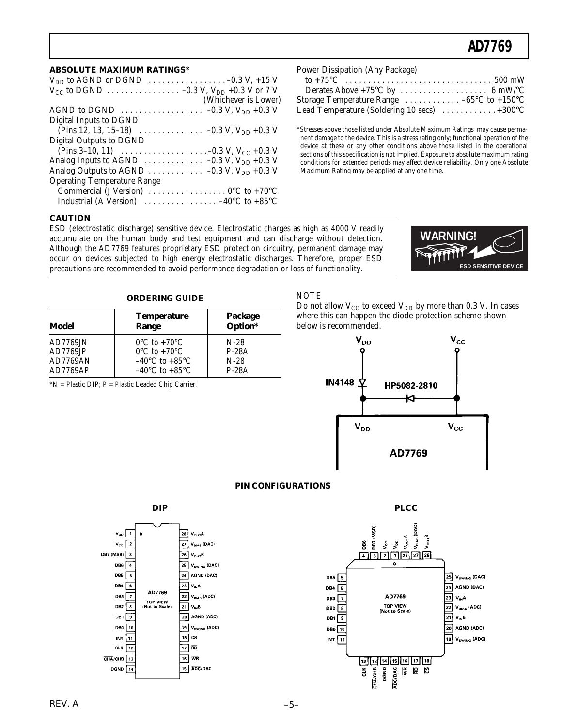$\ldots 500$  mW

#### **ABSOLUTE MAXIMUM RATINGS\***

| $V_{DD}$ to AGND or DGND $\ldots \ldots \ldots \ldots \ldots \ldots -0.3$ V, +15 V                        |
|-----------------------------------------------------------------------------------------------------------|
|                                                                                                           |
| (Whichever is Lower)                                                                                      |
|                                                                                                           |
| Digital Inputs to DGND                                                                                    |
| (Pins 12, 13, 15–18) $\ldots \ldots \ldots \ldots -0.3$ V, V <sub>DD</sub> +0.3 V                         |
| <b>Digital Outputs to DGND</b>                                                                            |
| (Pins 3–10, 11) $\ldots \ldots \ldots \ldots \ldots \ldots -0.3$ V, V <sub>CC</sub> +0.3 V                |
| Analog Inputs to AGND $\ldots \ldots \ldots \ldots -0.3$ V, V <sub>DD</sub> +0.3 V                        |
| Analog Outputs to AGND $\ldots \ldots \ldots \ldots -0.3$ V, V <sub>DD</sub> +0.3 V                       |
| <b>Operating Temperature Range</b>                                                                        |
| Commercial (J Version) $\ldots \ldots \ldots \ldots \ldots \ldots 0$ <sup>o</sup> C to +70 <sup>o</sup> C |
| Industrial (A Version) $\ldots \ldots \ldots \ldots -40^{\circ}C$ to +85°C                                |
|                                                                                                           |

| Power Dissipation (Any Package)   |  |  |
|-----------------------------------|--|--|
| to $+75^{\circ}$ C                |  |  |
| Derates Above +75 $^{\circ}$ C by |  |  |

|                                                                          | Storage Temperature Range $\dots\dots\dots\dots -65$ °C to +150°C |
|--------------------------------------------------------------------------|-------------------------------------------------------------------|
| Lead Temperature (Soldering 10 secs) $\dots\dots\dots\dots+300^{\circ}C$ |                                                                   |

\*Stresses above those listed under Absolute Maximum Ratings may cause permanent damage to the device. This is a stress rating only; functional operation of the device at these or any other conditions above those listed in the operational sections of this specification is not implied. Exposure to absolute maximum rating conditions for extended periods may affect device reliability. Only one Absolute Maximum Rating may be applied at any one time.

#### **CAUTION**

ESD (electrostatic discharge) sensitive device. Electrostatic charges as high as 4000 V readily accumulate on the human body and test equipment and can discharge without detection. Although the AD7769 features proprietary ESD protection circuitry, permanent damage may occur on devices subjected to high energy electrostatic discharges. Therefore, proper ESD precautions are recommended to avoid performance degradation or loss of functionality.



#### **ORDERING GUIDE**

| Model    | <b>Temperature</b><br>Range        | Package<br>Option* |  |
|----------|------------------------------------|--------------------|--|
| AD7769JN | $0^{\circ}$ C to +70 $^{\circ}$ C  | $N-28$             |  |
| AD7769JP | $0^{\circ}$ C to +70 $^{\circ}$ C  | $P-28A$            |  |
| AD7769AN | $-40^{\circ}$ C to $+85^{\circ}$ C | $N-28$             |  |
| AD7769AP | $-40^{\circ}$ C to $+85^{\circ}$ C | $P-28A$            |  |

\*N = Plastic DIP; P = Plastic Leaded Chip Carrier.

#### **NOTE**

Do not allow  $V_{CC}$  to exceed  $V_{DD}$  by more than 0.3 V. In cases where this can happen the diode protection scheme shown below is recommended.



#### **PIN CONFIGURATIONS**



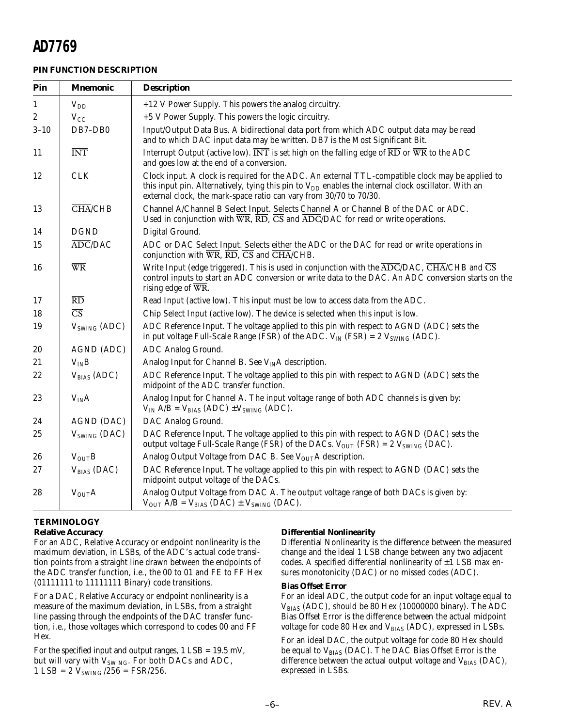#### **PIN FUNCTION DESCRIPTION**

| Pin          | <b>Mnemonic</b>                    | <b>Description</b>                                                                                                                                                                                                                                                                                               |
|--------------|------------------------------------|------------------------------------------------------------------------------------------------------------------------------------------------------------------------------------------------------------------------------------------------------------------------------------------------------------------|
| $\mathbf{1}$ | $V_{DD}$                           | +12 V Power Supply. This powers the analog circuitry.                                                                                                                                                                                                                                                            |
| 2            | $V_{CC}$                           | +5 V Power Supply. This powers the logic circuitry.                                                                                                                                                                                                                                                              |
| $3 - 10$     | DB7-DB0                            | Input/Output Data Bus. A bidirectional data port from which ADC output data may be read<br>and to which DAC input data may be written. DB7 is the Most Significant Bit.                                                                                                                                          |
| 11           | <b>INT</b>                         | Interrupt Output (active low). $\overline{INT}$ is set high on the falling edge of $\overline{RD}$ or $\overline{WR}$ to the ADC<br>and goes low at the end of a conversion.                                                                                                                                     |
| 12           | <b>CLK</b>                         | Clock input. A clock is required for the ADC. An external TTL-compatible clock may be applied to<br>this input pin. Alternatively, tying this pin to $V_{DD}$ enables the internal clock oscillator. With an<br>external clock, the mark-space ratio can vary from 30/70 to 70/30.                               |
| 13           | $\overline{\text{CHA}}/\text{CHB}$ | Channel A/Channel B Select Input. Selects Channel A or Channel B of the DAC or ADC.<br>Used in conjunction with $\overline{WR}$ , $\overline{RD}$ , $\overline{CS}$ and $\overline{ADC}/\overline{DAC}$ for read or write operations.                                                                            |
| 14           | <b>DGND</b>                        | Digital Ground.                                                                                                                                                                                                                                                                                                  |
| 15           | $\overline{ADC}/\overline{DAC}$    | ADC or DAC Select Input. Selects either the ADC or the DAC for read or write operations in<br>conjunction with $\overline{WR}$ , $\overline{RD}$ , $\overline{CS}$ and $\overline{CHA}/CHB$ .                                                                                                                    |
| 16           | $\overline{\text{WR}}$             | Write Input (edge triggered). This is used in conjunction with the $\overline{\text{ADC}/\text{DAC}}$ , $\overline{\text{CHA}}/\text{CHB}$ and $\overline{\text{CS}}$<br>control inputs to start an ADC conversion or write data to the DAC. An ADC conversion starts on the<br>rising edge of $\overline{WR}$ . |
| 17           | $\overline{RD}$                    | Read Input (active low). This input must be low to access data from the ADC.                                                                                                                                                                                                                                     |
| 18           | $\overline{\text{CS}}$             | Chip Select Input (active low). The device is selected when this input is low.                                                                                                                                                                                                                                   |
| 19           | $\rm{V}_{\rm SWING}$ (ADC)         | ADC Reference Input. The voltage applied to this pin with respect to AGND (ADC) sets the<br>in put voltage Full-Scale Range (FSR) of the ADC. $V_{IN}$ (FSR) = 2 $V_{SWING}$ (ADC).                                                                                                                              |
| 20           | AGND (ADC)                         | ADC Analog Ground.                                                                                                                                                                                                                                                                                               |
| 21           | $V_{IN}B$                          | Analog Input for Channel B. See $V_{IN}A$ description.                                                                                                                                                                                                                                                           |
| 22           | $V_{BIAS}$ (ADC)                   | ADC Reference Input. The voltage applied to this pin with respect to AGND (ADC) sets the<br>midpoint of the ADC transfer function.                                                                                                                                                                               |
| 23           | $V_{IN}A$                          | Analog Input for Channel A. The input voltage range of both ADC channels is given by:<br>$V_{IN}$ A/B = $V_{BIAS}$ (ADC) $\pm V_{SWING}$ (ADC).                                                                                                                                                                  |
| 24           | AGND (DAC)                         | DAC Analog Ground.                                                                                                                                                                                                                                                                                               |
| 25           | $V_{SWING}$ (DAC)                  | DAC Reference Input. The voltage applied to this pin with respect to AGND (DAC) sets the<br>output voltage Full-Scale Range (FSR) of the DACs. $V_{OUT}$ (FSR) = 2 $V_{SWING}$ (DAC).                                                                                                                            |
| 26           | $V_{\text{OUT}}B$                  | Analog Output Voltage from DAC B. See VOUTA description.                                                                                                                                                                                                                                                         |
| 27           | $V_{BIAS}$ (DAC)                   | DAC Reference Input. The voltage applied to this pin with respect to AGND (DAC) sets the<br>midpoint output voltage of the DACs.                                                                                                                                                                                 |
| 28           | $V_{\text{OUT}}A$                  | Analog Output Voltage from DAC A. The output voltage range of both DACs is given by:<br>$V_{\text{OUT}}$ A/B = $V_{\text{BIAS}}$ (DAC) $\pm$ $V_{\text{SWING}}$ (DAC).                                                                                                                                           |

#### **TERMINOLOGY**

#### **Relative Accuracy**

For an ADC, Relative Accuracy or endpoint nonlinearity is the maximum deviation, in LSBs, of the ADC's actual code transition points from a straight line drawn between the endpoints of the ADC transfer function, i.e., the 00 to 01 and FE to FF Hex (01111111 to 11111111 Binary) code transitions.

For a DAC, Relative Accuracy or endpoint nonlinearity is a measure of the maximum deviation, in LSBs, from a straight line passing through the endpoints of the DAC transfer function, i.e., those voltages which correspond to codes 00 and FF Hex.

For the specified input and output ranges,  $1$  LSB =  $19.5$  mV, but will vary with  $V_{SWING}$ . For both DACs and ADC,  $1$  LSB = 2  $V_{SWING}$  /256 = FSR/256.

#### **Differential Nonlinearity**

Differential Nonlinearity is the difference between the measured change and the ideal 1 LSB change between any two adjacent codes. A specified differential nonlinearity of  $\pm 1$  LSB max ensures monotonicity (DAC) or no missed codes (ADC).

#### **Bias Offset Error**

For an ideal ADC, the output code for an input voltage equal to  $V_{BIAS}$  (ADC), should be 80 Hex (10000000 binary). The ADC Bias Offset Error is the difference between the actual midpoint voltage for code 80 Hex and  $V_{BIAS}$  (ADC), expressed in LSBs.

For an ideal DAC, the output voltage for code 80 Hex should be equal to V<sub>BIAS</sub> (DAC). The DAC Bias Offset Error is the difference between the actual output voltage and  $V_{\text{BIAS}}$  (DAC), expressed in LSBs.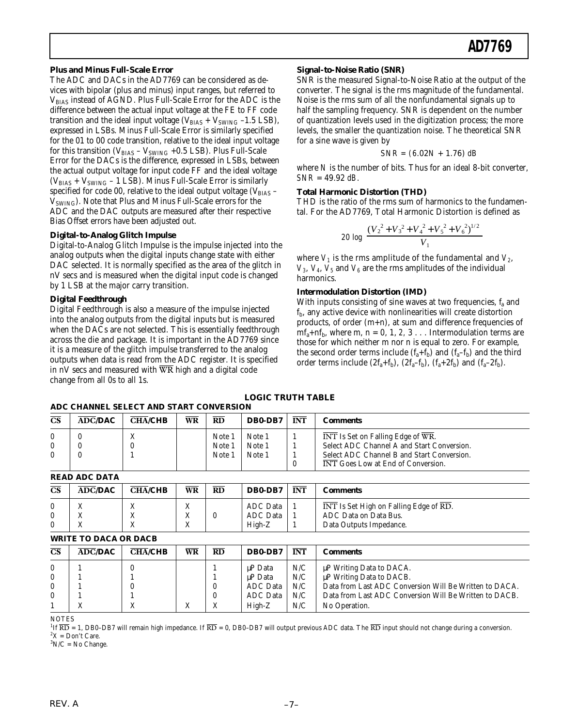#### **Plus and Minus Full-Scale Error**

The ADC and DACs in the AD7769 can be considered as devices with bipolar (plus and minus) input ranges, but referred to VBIAS instead of AGND. Plus Full-Scale Error for the ADC is the difference between the actual input voltage at the FE to FF code transition and the ideal input voltage ( $V_{BIAS}$  +  $V_{SWING}$  -1.5 LSB), expressed in LSBs. Minus Full-Scale Error is similarly specified for the 01 to 00 code transition, relative to the ideal input voltage for this transition ( $V_{BIAS}$  –  $V_{SWING}$  +0.5 LSB). Plus Full-Scale Error for the DACs is the difference, expressed in LSBs, between the actual output voltage for input code FF and the ideal voltage  $(V_{\text{BIAS}} + V_{\text{SWING}} - 1$  LSB). Minus Full-Scale Error is similarly specified for code 00, relative to the ideal output voltage ( $V_{\text{BIAS}}$  –  $V_{SWING}$ ). Note that Plus and Minus Full-Scale errors for the ADC and the DAC outputs are measured after their respective Bias Offset errors have been adjusted out.

#### **Digital-to-Analog Glitch Impulse**

Digital-to-Analog Glitch Impulse is the impulse injected into the analog outputs when the digital inputs change state with either DAC selected. It is normally specified as the area of the glitch in nV secs and is measured when the digital input code is changed by 1 LSB at the major carry transition.

#### **Digital Feedthrough**

Digital Feedthrough is also a measure of the impulse injected into the analog outputs from the digital inputs but is measured when the DACs are not selected. This is essentially feedthrough across the die and package. It is important in the AD7769 since it is a measure of the glitch impulse transferred to the analog outputs when data is read from the ADC register. It is specified in nV secs and measured with  $\overline{WR}$  high and a digital code change from all 0s to all 1s.

#### **Signal-to-Noise Ratio (SNR)**

SNR is the measured Signal-to-Noise Ratio at the output of the converter. The signal is the rms magnitude of the fundamental. Noise is the rms sum of all the nonfundamental signals up to half the sampling frequency. SNR is dependent on the number of quantization levels used in the digitization process; the more levels, the smaller the quantization noise. The theoretical SNR for a sine wave is given by

$$
SNR = (6.02N + 1.76) \, dB
$$

where *N* is the number of bits. Thus for an ideal 8-bit converter, *SNR* = 49.92 *dB*.

#### **Total Harmonic Distortion (THD)**

THD is the ratio of the rms sum of harmonics to the fundamental. For the AD7769, Total Harmonic Distortion is defined as

$$
20 \log \frac{(V_2^2 + V_3^2 + V_4^2 + V_5^2 + V_6^2)^{1/2}}{V_1}
$$

where  $V_1$  is the rms amplitude of the fundamental and  $V_2$ ,  $V_3$ ,  $V_4$ ,  $V_5$  and  $V_6$  are the rms amplitudes of the individual harmonics.

#### **Intermodulation Distortion (IMD)**

With inputs consisting of sine waves at two frequencies,  $f_a$  and  $f<sub>b</sub>$ , any active device with nonlinearities will create distortion products, of order (m+n), at sum and difference frequencies of  $mf<sub>a</sub>+nf<sub>b</sub>$ , where m, n = 0, 1, 2, 3 . . . Intermodulation terms are those for which neither m nor n is equal to zero. For example, the second order terms include  $(f_a + f_b)$  and  $(f_a - f_b)$  and the third order terms include  $(2f_a+f_b)$ ,  $(2f_a-f_b)$ ,  $(f_a+2f_b)$  and  $(f_a-2f_b)$ .

#### **LOGIC TRUTH TABLE ADC CHANNEL SELECT AND START CONVERSION**

|                        |                                 | ADU UHANNEL SELEUT AND STANT CONVERSION |    |                         |                            |            |                                                                                                                               |
|------------------------|---------------------------------|-----------------------------------------|----|-------------------------|----------------------------|------------|-------------------------------------------------------------------------------------------------------------------------------|
| $\overline{\text{CS}}$ | $\overline{ADC}/\overline{DAC}$ | <b>CHA/CHB</b>                          | WR | <b>RD</b>               | DB0-DB7                    | <b>INT</b> | Comments                                                                                                                      |
| $\mathbf{0}$<br>0      |                                 |                                         |    | Note.<br>Note.<br>Note. | Note 1<br>Note 1<br>Note 1 |            | INT Is Set on Falling Edge of WR.<br>Select ADC Channel A and Start Conversion.<br>Select ADC Channel B and Start Conversion. |
|                        |                                 |                                         |    |                         |                            | 0          | INT Goes Low at End of Conversion.                                                                                            |

**READ ADC DATA**

|                        | READ ADU DATA  |                |           |           |                 |            |                                                                                 |
|------------------------|----------------|----------------|-----------|-----------|-----------------|------------|---------------------------------------------------------------------------------|
| $\overline{\text{CS}}$ | <b>ADC/DAC</b> | <b>CHA/CHB</b> | <b>WR</b> | <b>RD</b> | DB0-DB7         | <b>INT</b> | Comments                                                                        |
|                        |                | △              | △         |           | ADC Data        |            | $\overline{\text{INT}}$ Is Set High on Falling Edge of $\overline{\text{RD}}$ . |
| 0                      | △              | △              | △         |           | <b>ADC</b> Data |            | ADC Data on Data Bus.                                                           |
| 0                      |                | △              | △         |           | High-Z          |            | Data Outputs Impedance.                                                         |

#### **WRITE TO DACA OR DACB**

| ADC/DAC | <b>CHA/CHB</b> | <b>WR</b>             | RD | DB0-DB7  | <b>INT</b>          | Comments                                                                |
|---------|----------------|-----------------------|----|----------|---------------------|-------------------------------------------------------------------------|
|         |                |                       |    | uP Data  | N/C                 | μP Writing Data to DACA.<br>$\mu$ P Writing Data to DACB.               |
|         |                |                       |    | ADC Data | N/C                 | Data from Last ADC Conversion Will Be Written to DACA.                  |
|         |                | △                     |    | High-Z   | N/C                 | Data from Last ADC Conversion Will Be Written to DACB.<br>No Operation. |
|         |                | www.communication.com |    |          | uP Data<br>ADC Data | N/C<br>N/C                                                              |

**NOTES** 

<sup>1</sup>If  $\overline{RD}$  = 1, DB0–DB7 will remain high impedance. If  $\overline{RD}$  = 0, DB0–DB7 will output previous ADC data. The  $\overline{RD}$  input should not change during a conversion.  ${}^{2}X =$  Don't Care.

 ${}^{3}N/C = No$  Change.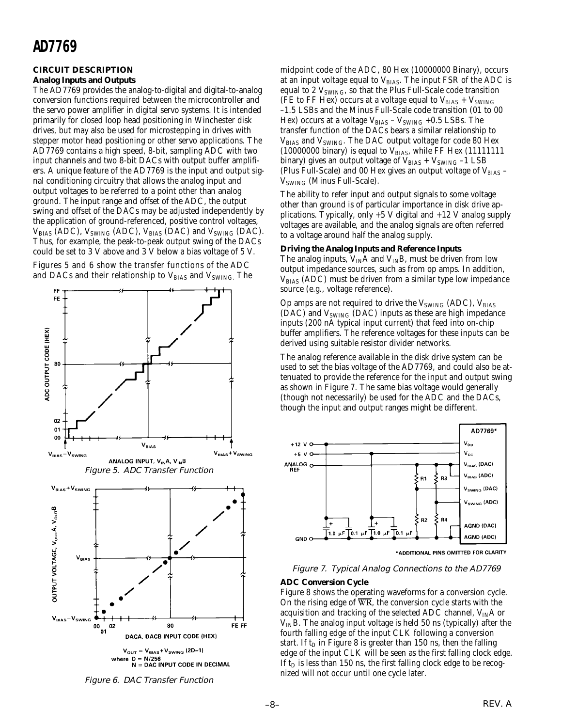#### **CIRCUIT DESCRIPTION**

#### **Analog Inputs and Outputs**

The AD7769 provides the analog-to-digital and digital-to-analog conversion functions required between the microcontroller and the servo power amplifier in digital servo systems. It is intended primarily for closed loop head positioning in Winchester disk drives, but may also be used for microstepping in drives with stepper motor head positioning or other servo applications. The AD7769 contains a high speed, 8-bit, sampling ADC with two input channels and two 8-bit DACs with output buffer amplifiers. A unique feature of the AD7769 is the input and output signal conditioning circuitry that allows the analog input and output voltages to be referred to a point other than analog ground. The input range and offset of the ADC, the output swing and offset of the DACs may be adjusted independently by the application of ground-referenced, positive control voltages,  $V_{BIAS}$  (ADC),  $V_{SWING}$  (ADC),  $V_{BIAS}$  (DAC) and  $V_{SWING}$  (DAC). Thus, for example, the peak-to-peak output swing of the DACs could be set to 3 V above and 3 V below a bias voltage of 5 V.

Figures 5 and 6 show the transfer functions of the ADC and DACs and their relationship to  $V_{BIAS}$  and  $V_{SWING}$ . The





midpoint code of the ADC, 80 Hex (10000000 Binary), occurs at an input voltage equal to  $V_{\rm BIAS}$ . The input FSR of the ADC is equal to 2  $V_{\text{SWING}}$ , so that the Plus Full-Scale code transition (FE to FF Hex) occurs at a voltage equal to  $V_{\rm BIAS}$  +  $V_{\rm SWING}$ –1.5 LSBs and the Minus Full-Scale code transition (01 to 00 Hex) occurs at a voltage  $V_{\text{BIAS}}$  –  $V_{\text{SWING}}$  +0.5 LSBs. The transfer function of the DACs bears a similar relationship to V<sub>BIAS</sub> and V<sub>SWING</sub>. The DAC output voltage for code 80 Hex (10000000 binary) is equal to  $V_{BIAS}$ , while FF Hex (11111111 binary) gives an output voltage of  $V_{BIAS}$  +  $V_{SWING}$  -1 LSB (Plus Full-Scale) and 00 Hex gives an output voltage of  $V_{\rm BIAS}$  –  $V<sub>SWING</sub>$  (Minus Full-Scale).

The ability to refer input and output signals to some voltage other than ground is of particular importance in disk drive applications. Typically, only  $+5$  V digital and  $+12$  V analog supply voltages are available, and the analog signals are often referred to a voltage around half the analog supply.

#### **Driving the Analog Inputs and Reference Inputs**

The analog inputs,  $V_{IN}A$  and  $V_{IN}B$ , must be driven from low output impedance sources, such as from op amps. In addition,  $V_{BIAS}$  (ADC) must be driven from a similar type low impedance source (e.g., voltage reference).

Op amps are not required to drive the  $V_{\text{SWING}}$  (ADC),  $V_{\text{BIAS}}$ (DAC) and  $V_{SWING}$  (DAC) inputs as these are high impedance inputs (200 nA typical input current) that feed into on-chip buffer amplifiers. The reference voltages for these inputs can be derived using suitable resistor divider networks.

The analog reference available in the disk drive system can be used to set the bias voltage of the AD7769, and could also be attenuated to provide the reference for the input and output swing as shown in Figure 7. The same bias voltage would generally (though not necessarily) be used for the ADC and the DACs, though the input and output ranges might be different.



\*ADDITIONAL PINS OMITTED FOR CLARITY

#### Figure 7. Typical Analog Connections to the AD7769

#### **ADC Conversion Cycle**

Figure 8 shows the operating waveforms for a conversion cycle. On the rising edge of WR, the conversion cycle starts with the acquisition and tracking of the selected ADC channel,  $V_{IN}A$  or  $V_{IN}B$ . The analog input voltage is held 50 ns (typically) after the fourth falling edge of the input CLK following a conversion start. If  $t_D$  in Figure 8 is greater than 150 ns, then the falling edge of the input CLK will be seen as the first falling clock edge. If  $t_D$  is less than 150 ns, the first falling clock edge to be recognized will not occur until one cycle later.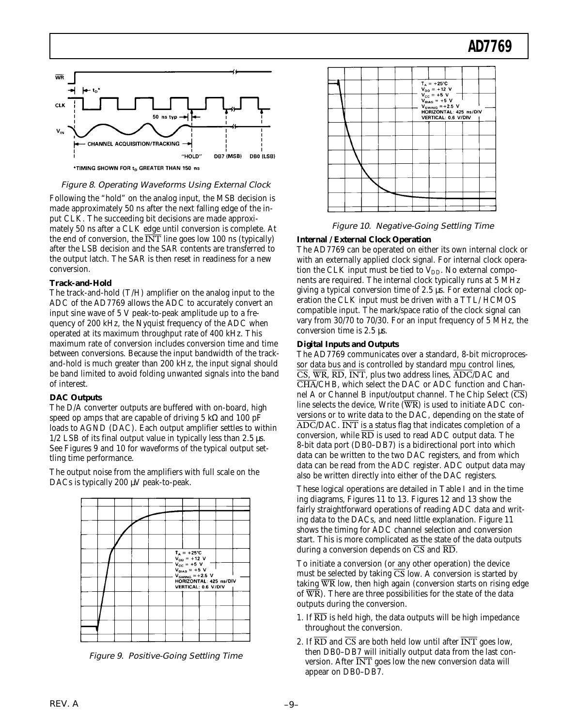

Figure 8. Operating Waveforms Using External Clock

Following the "hold" on the analog input, the MSB decision is made approximately 50 ns after the next falling edge of the input CLK. The succeeding bit decisions are made approximately 50 ns after a CLK edge until conversion is complete. At the end of conversion, the INT line goes low 100 ns (typically) after the LSB decision and the SAR contents are transferred to the output latch. The SAR is then reset in readiness for a new conversion.

#### **Track-and-Hold**

The track-and-hold (T/H) amplifier on the analog input to the ADC of the AD7769 allows the ADC to accurately convert an input sine wave of 5 V peak-to-peak amplitude up to a frequency of 200 kHz, the Nyquist frequency of the ADC when operated at its maximum throughput rate of 400 kHz. This maximum rate of conversion includes conversion time and time between conversions. Because the input bandwidth of the trackand-hold is much greater than 200 kHz, the input signal should be band limited to avoid folding unwanted signals into the band of interest.

#### **DAC Outputs**

The D/A converter outputs are buffered with on-board, high speed op amps that are capable of driving 5 kΩ and 100 pF loads to AGND (DAC). Each output amplifier settles to within  $1/2$  LSB of its final output value in typically less than 2.5  $\mu$ s. See Figures 9 and 10 for waveforms of the typical output settling time performance.

The output noise from the amplifiers with full scale on the DACs is typically 200 µV peak-to-peak.



Figure 9. Positive-Going Settling Time



Figure 10. Negative-Going Settling Time

#### **Internal / External Clock Operation**

The AD7769 can be operated on either its own internal clock or with an externally applied clock signal. For internal clock operation the CLK input must be tied to  $V_{DD}$ . No external components are required. The internal clock typically runs at 5 MHz giving a typical conversion time of 2.5 µs. For external clock operation the CLK input must be driven with a TTL/ HCMOS compatible input. The mark/space ratio of the clock signal can vary from 30/70 to 70/30. For an input frequency of 5 MHz, the conversion time is 2.5 µs.

#### **Digital Inputs and Outputs**

The AD7769 communicates over a standard, 8-bit microprocessor data bus and is controlled by standard mpu control lines,  $\overline{CS}$ ,  $\overline{WR}$ ,  $\overline{RD}$ ,  $\overline{INT}$ , plus two address lines,  $\overline{ADC}/DAC$  and CHA/CHB, which select the DAC or ADC function and Channel A or Channel B input/output channel. The Chip Select  $(\overline{CS})$ line selects the device, Write  $(\overline{WR})$  is used to initiate ADC conversions or to write data to the DAC, depending on the state of ADC/DAC. INT is a status flag that indicates completion of a conversion, while  $\overline{\text{RD}}$  is used to read ADC output data. The 8-bit data port (DB0–DB7) is a bidirectional port into which data can be written to the two DAC registers, and from which data can be read from the ADC register. ADC output data may also be written directly into either of the DAC registers.

These logical operations are detailed in Table I and in the time ing diagrams, Figures 11 to 13. Figures 12 and 13 show the fairly straightforward operations of reading ADC data and writing data to the DACs, and need little explanation. Figure 11 shows the timing for ADC channel selection and conversion start. This is more complicated as the state of the data outputs during a conversion depends on  $\overline{CS}$  and  $\overline{RD}$ .

To initiate a conversion (or any other operation) the device must be selected by taking  $\overline{CS}$  low. A conversion is started by taking WR low, then high again (conversion starts on rising edge of  $\overline{WR}$ ). There are three possibilities for the state of the data outputs during the conversion.

- 1. If  $\overline{RD}$  is held high, the data outputs will be high impedance throughout the conversion.
- 2. If  $\overline{\text{RD}}$  and  $\overline{\text{CS}}$  are both held low until after  $\overline{\text{INT}}$  goes low, then DB0–DB7 will initially output data from the last conversion. After  $\overline{\text{INT}}$  goes low the new conversion data will appear on DB0–DB7.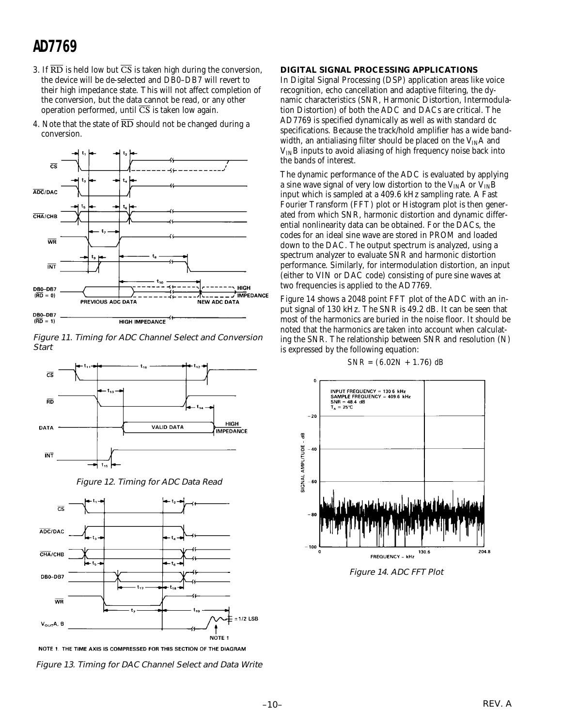- 3. If  $\overline{\text{RD}}$  is held low but  $\overline{\text{CS}}$  is taken high during the conversion, the device will be de-selected and DB0–DB7 will revert to their high impedance state. This will not affect completion of the conversion, but the data cannot be read, or any other operation performed, until  $\overline{CS}$  is taken low again.
- 4. Note that the state of  $\overline{RD}$  should not be changed during a conversion.







Figure 12. Timing for ADC Data Read



NOTE 1. THE TIME AXIS IS COMPRESSED FOR THIS SECTION OF THE DIAGRAM



#### **DIGITAL SIGNAL PROCESSING APPLICATIONS**

In Digital Signal Processing (DSP) application areas like voice recognition, echo cancellation and adaptive filtering, the dynamic characteristics (SNR, Harmonic Distortion, Intermodulation Distortion) of both the ADC and DACs are critical. The AD7769 is specified dynamically as well as with standard dc specifications. Because the track/hold amplifier has a wide bandwidth, an antialiasing filter should be placed on the  $V_{IN}A$  and  $V_{IN}B$  inputs to avoid aliasing of high frequency noise back into the bands of interest.

The dynamic performance of the ADC is evaluated by applying a sine wave signal of very low distortion to the  $V_{IN}A$  or  $V_{IN}B$ input which is sampled at a 409.6 kHz sampling rate. A Fast Fourier Transform (FFT) plot or Histogram plot is then generated from which SNR, harmonic distortion and dynamic differential nonlinearity data can be obtained. For the DACs, the codes for an ideal sine wave are stored in PROM and loaded down to the DAC. The output spectrum is analyzed, using a spectrum analyzer to evaluate SNR and harmonic distortion performance. Similarly, for intermodulation distortion, an input (either to VIN or DAC code) consisting of pure sine waves at two frequencies is applied to the AD7769.

Figure 14 shows a 2048 point FFT plot of the ADC with an input signal of 130 kHz. The SNR is 49.2 dB. It can be seen that most of the harmonics are buried in the noise floor. It should be noted that the harmonics are taken into account when calculating the SNR. The relationship between SNR and resolution (N) is expressed by the following equation:

#### *SNR = (6*.02*N* + 1.76) *dB*



Figure 14. ADC FFT Plot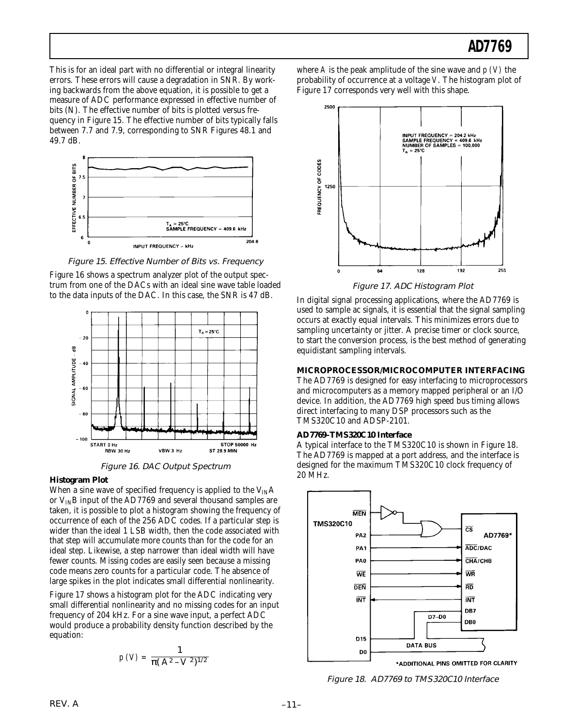This is for an ideal part with no differential or integral linearity errors. These errors will cause a degradation in SNR. By working backwards from the above equation, it is possible to get a measure of ADC performance expressed in effective number of bits (N). The effective number of bits is plotted versus frequency in Figure 15. The effective number of bits typically falls between 7.7 and 7.9, corresponding to SNR Figures 48.1 and 49.7 dB.



Figure 15. Effective Number of Bits vs. Frequency

Figure 16 shows a spectrum analyzer plot of the output spectrum from one of the DACs with an ideal sine wave table loaded to the data inputs of the DAC. In this case, the SNR is 47 dB.



Figure 16. DAC Output Spectrum

#### **Histogram Plot**

When a sine wave of specified frequency is applied to the  $V_{IN}A$ or  $V_{IN}B$  input of the AD7769 and several thousand samples are taken, it is possible to plot a histogram showing the frequency of occurrence of each of the 256 ADC codes. If a particular step is wider than the ideal 1 LSB width, then the code associated with that step will accumulate more counts than for the code for an ideal step. Likewise, a step narrower than ideal width will have fewer counts. Missing codes are easily seen because a missing code means zero counts for a particular code. The absence of large spikes in the plot indicates small differential nonlinearity.

Figure 17 shows a histogram plot for the ADC indicating very small differential nonlinearity and no missing codes for an input frequency of 204 kHz. For a sine wave input, a perfect ADC would produce a probability density function described by the equation:

$$
p\ (V)=\frac{1}{\pi (A^2-V^2)^{1/2}}
$$

where *A* is the peak amplitude of the sine wave and *p (V)* the probability of occurrence at a voltage *V*. The histogram plot of Figure 17 corresponds very well with this shape.



Figure 17. ADC Histogram Plot

In digital signal processing applications, where the AD7769 is used to sample ac signals, it is essential that the signal sampling occurs at exactly equal intervals. This minimizes errors due to sampling uncertainty or jitter. A precise timer or clock source, to start the conversion process, is the best method of generating equidistant sampling intervals.

#### **MICROPROCESSOR/MICROCOMPUTER INTERFACING**

The AD7769 is designed for easy interfacing to microprocessors and microcomputers as a memory mapped peripheral or an I/O device. In addition, the AD7769 high speed bus timing allows direct interfacing to many DSP processors such as the TMS320C10 and ADSP-2101.

#### **AD7769–TMS320C10 Interface**

A typical interface to the TMS320C10 is shown in Figure 18. The AD7769 is mapped at a port address, and the interface is designed for the maximum TMS320C10 clock frequency of 20 MHz.



Figure 18. AD7769 to TMS320C10 Interface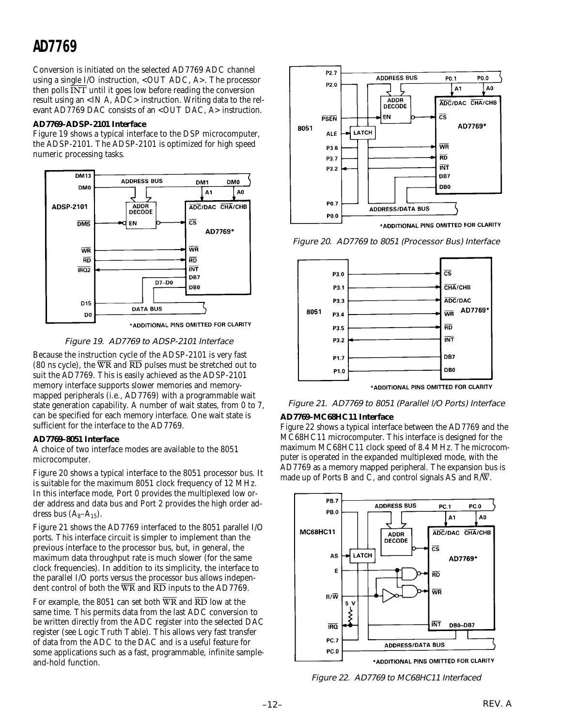Conversion is initiated on the selected AD7769 ADC channel using a single I/O instruction, <OUT ADC, A>. The processor then polls  $\overline{\text{INT}}$  until it goes low before reading the conversion result using an <IN A, ADC> instruction. Writing data to the relevant AD7769 DAC consists of an <OUT DAC, A> instruction.

#### **AD7769–ADSP-2101 Interface**

Figure 19 shows a typical interface to the DSP microcomputer, the ADSP-2101. The ADSP-2101 is optimized for high speed numeric processing tasks.



\*ADDITIONAL PINS OMITTED FOR CLARITY



Because the instruction cycle of the ADSP-2101 is very fast (80 ns cycle), the  $\overline{WR}$  and  $\overline{RD}$  pulses must be stretched out to suit the AD7769. This is easily achieved as the ADSP-2101 memory interface supports slower memories and memorymapped peripherals (i.e., AD7769) with a programmable wait state generation capability. A number of wait states, from 0 to 7, can be specified for each memory interface. One wait state is sufficient for the interface to the AD7769.

#### **AD7769–8051 Interface**

A choice of two interface modes are available to the 8051 microcomputer.

Figure 20 shows a typical interface to the 8051 processor bus. It is suitable for the maximum 8051 clock frequency of 12 MHz. In this interface mode, Port 0 provides the multiplexed low order address and data bus and Port 2 provides the high order address bus  $(A_8-A_{15})$ .

Figure 21 shows the AD7769 interfaced to the 8051 parallel I/O ports. This interface circuit is simpler to implement than the previous interface to the processor bus, but, in general, the maximum data throughput rate is much slower (for the same clock frequencies). In addition to its simplicity, the interface to the parallel I/O ports versus the processor bus allows independent control of both the  $\overline{WR}$  and  $\overline{RD}$  inputs to the AD7769.

For example, the 8051 can set both  $\overline{WR}$  and  $\overline{RD}$  low at the same time. This permits data from the last ADC conversion to be written directly from the ADC register into the selected DAC register (see Logic Truth Table). This allows very fast transfer of data from the ADC to the DAC and is a useful feature for some applications such as a fast, programmable, infinite sampleand-hold function.



Figure 20. AD7769 to 8051 (Processor Bus) Interface



Figure 21. AD7769 to 8051 (Parallel l/O Ports) Interface

#### **AD7769–MC68HC11 Interface**

Figure 22 shows a typical interface between the AD7769 and the MC68HC11 microcomputer. This interface is designed for the maximum MC68HC11 clock speed of 8.4 MHz. The microcomputer is operated in the expanded multiplexed mode, with the AD7769 as a memory mapped peripheral. The expansion bus is made up of Ports B and C, and control signals AS and R/W.



Figure 22. AD7769 to MC68HC11 Interfaced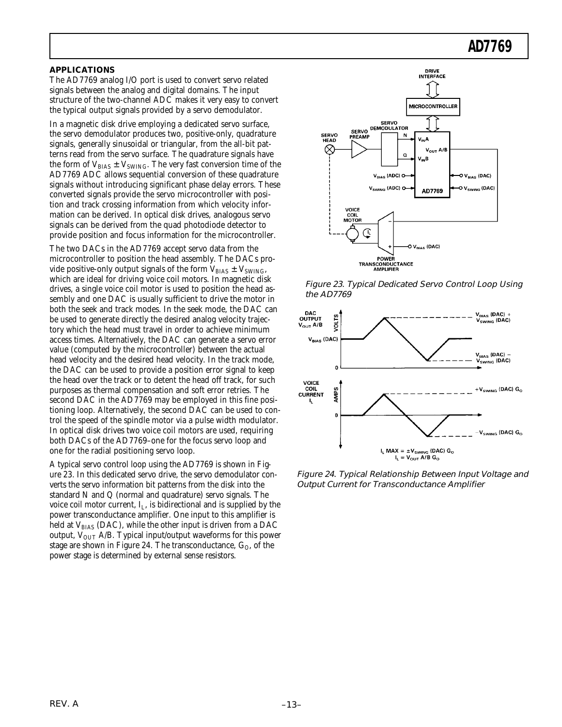#### **APPLICATIONS**

The AD7769 analog I/O port is used to convert servo related signals between the analog and digital domains. The input structure of the two-channel ADC makes it very easy to convert the typical output signals provided by a servo demodulator.

In a magnetic disk drive employing a dedicated servo surface, the servo demodulator produces two, positive-only, quadrature signals, generally sinusoidal or triangular, from the all-bit patterns read from the servo surface. The quadrature signals have the form of  $V_{BIAS} \pm V_{SWING}$ . The very fast conversion time of the AD7769 ADC allows sequential conversion of these quadrature signals without introducing significant phase delay errors. These converted signals provide the servo microcontroller with position and track crossing information from which velocity information can be derived. In optical disk drives, analogous servo signals can be derived from the quad photodiode detector to provide position and focus information for the microcontroller.

The two DACs in the AD7769 accept servo data from the microcontroller to position the head assembly. The DACs provide positive-only output signals of the form  $V_{BIAS} \pm V_{SWING}$ , which are ideal for driving voice coil motors. In magnetic disk drives, a single voice coil motor is used to position the head assembly and one DAC is usually sufficient to drive the motor in both the seek and track modes. In the seek mode, the DAC can be used to generate directly the desired analog velocity trajectory which the head must travel in order to achieve minimum access times. Alternatively, the DAC can generate a servo error value (computed by the microcontroller) between the actual head velocity and the desired head velocity. In the track mode, the DAC can be used to provide a position error signal to keep the head over the track or to detent the head off track, for such purposes as thermal compensation and soft error retries. The second DAC in the AD7769 may be employed in this fine positioning loop. Alternatively, the second DAC can be used to control the speed of the spindle motor via a pulse width modulator. In optical disk drives two voice coil motors are used, requiring both DACs of the AD7769–one for the focus servo loop and one for the radial positioning servo loop.

A typical servo control loop using the AD7769 is shown in Figure 23. In this dedicated servo drive, the servo demodulator converts the servo information bit patterns from the disk into the standard N and Q (normal and quadrature) servo signals. The voice coil motor current,  $I_L$ , is bidirectional and is supplied by the power transconductance amplifier. One input to this amplifier is held at  $V_{BIAS}$  (DAC), while the other input is driven from a DAC output,  $V_{\text{OUT}}$  A/B. Typical input/output waveforms for this power stage are shown in Figure 24. The transconductance,  $G_O$ , of the power stage is determined by external sense resistors.



Figure 23. Typical Dedicated Servo Control Loop Using the AD7769



Figure 24. Typical Relationship Between Input Voltage and Output Current for Transconductance Amplifier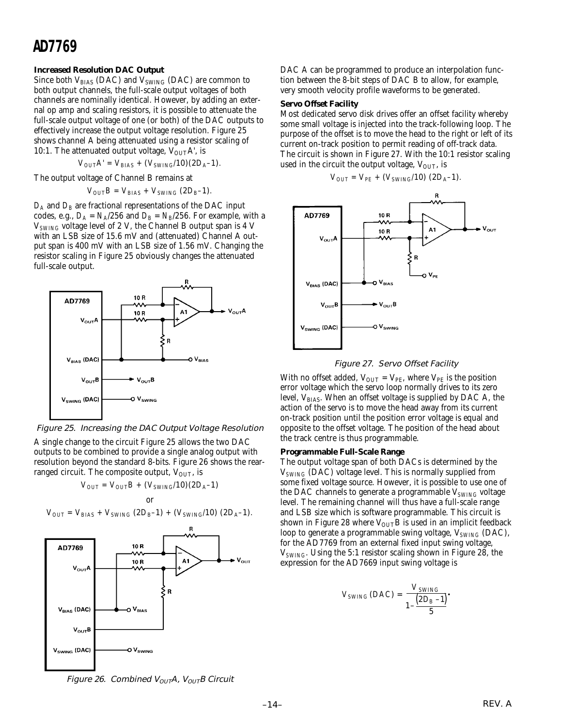#### **Increased Resolution DAC Output**

Since both  $V_{BIAS}$  (DAC) and  $V_{SWING}$  (DAC) are common to both output channels, the full-scale output voltages of both channels are nominally identical. However, by adding an external op amp and scaling resistors, it is possible to attenuate the full-scale output voltage of one (or both) of the DAC outputs to effectively increase the output voltage resolution. Figure 25 shows channel A being attenuated using a resistor scaling of 10:1. The attenuated output voltage,  $V_{\text{OUT}}A'$ , is

 $V_{OUT}A' = V_{BIAS} + (V_{SWING}/10)(2D_A-1)$ .

The output voltage of Channel B remains at

 $V_{OUT}B = V_{BIAS} + V_{SWING} (2D_B - 1)$ .

 $D_A$  and  $D_B$  are fractional representations of the DAC input codes, e.g.,  $D_A = N_A/256$  and  $D_B = N_B/256$ . For example, with a V*SWING* voltage level of 2 V, the Channel B output span is 4 V with an LSB size of 15.6 mV and (attenuated) Channel A output span is 400 mV with an LSB size of 1.56 mV. Changing the resistor scaling in Figure 25 obviously changes the attenuated full-scale output.



Figure 25. Increasing the DAC Output Voltage Resolution

A single change to the circuit Figure 25 allows the two DAC outputs to be combined to provide a single analog output with resolution beyond the standard 8-bits. Figure 26 shows the rearranged circuit. The composite output,  $V_{\text{OUT}}$ , is

$$
V_{OUT} = V_{OUT}B + (V_{SWING}/10)(2D_A-1)
$$
 or

$$
V_{OUT} = V_{BIAS} + V_{SWING} (2D_B-1) + (V_{SWING}/10) (2D_A-1).
$$



DAC A can be programmed to produce an interpolation function between the 8-bit steps of DAC B to allow, for example, very smooth velocity profile waveforms to be generated.

#### **Servo Offset Facility**

Most dedicated servo disk drives offer an offset facility whereby some small voltage is injected into the track-following loop. The purpose of the offset is to move the head to the right or left of its current on-track position to permit reading of off-track data. The circuit is shown in Figure 27. With the 10:1 resistor scaling used in the circuit the output voltage,  $V_{\text{OUT}}$ , is

$$
V_{OUT} = V_{PE} + (V_{SWING}/10) (2D_A-1).
$$



Figure 27. Servo Offset Facility

With no offset added,  $V_{OUT} = V_{PE}$ , where  $V_{PE}$  is the position error voltage which the servo loop normally drives to its zero level, V<sub>BIAS</sub>. When an offset voltage is supplied by DAC A, the action of the servo is to move the head away from its current on-track position until the position error voltage is equal and opposite to the offset voltage. The position of the head about the track centre is thus programmable.

#### **Programmable Full-Scale Range**

The output voltage span of both DACs is determined by the V*SWING* (DAC) voltage level. This is normally supplied from some fixed voltage source. However, it is possible to use one of the DAC channels to generate a programmable V*SWING* voltage level. The remaining channel will thus have a full-scale range and LSB size which is software programmable. This circuit is shown in Figure 28 where  $V_{\text{OUT}}$  is used in an implicit feedback loop to generate a programmable swing voltage, V<sub>SWING</sub> (DAC), for the AD7769 from an external fixed input swing voltage, V*SWING*. Using the 5:1 resistor scaling shown in Figure 28, the expression for the AD7669 input swing voltage is

$$
V_{SWING}(DAC) = \frac{V_{SWING}}{1 - \frac{(2D_B - 1)}{5}}.
$$

Figure 26. Combined  $V_{OUT}A$ ,  $V_{OUT}B$  Circuit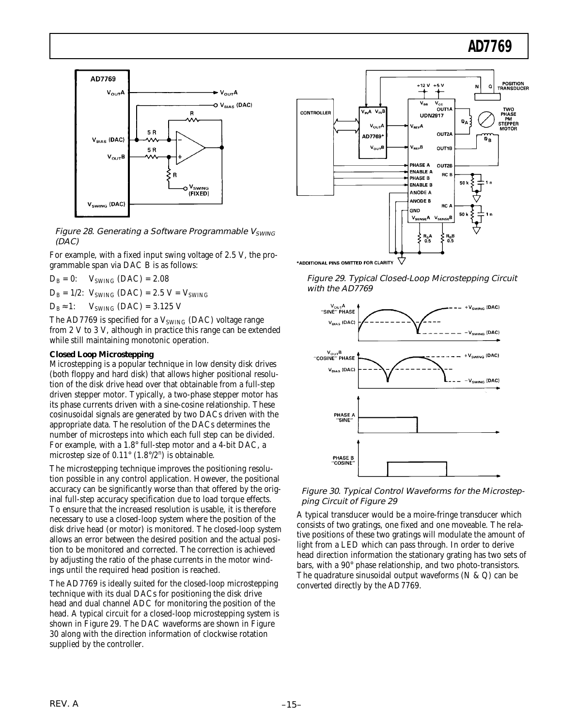

Figure 28. Generating a Software Programmable V<sub>SWING</sub> (DAC)

For example, with a fixed input swing voltage of 2.5 V, the programmable span via DAC B is as follows:

 $D_B = 0$ :  $V_{SWING} (DAC) = 2.08$  $D_B = 1/2$ :  $V_{SWING} (DAC) = 2.5 V = V_{SWING}$  $D_B ≈ 1$ : V<sub>SWING</sub> (DAC) = 3.125 V

The AD7769 is specified for a  $V_{SWING}$  (DAC) voltage range from 2 V to 3 V, although in practice this range can be extended while still maintaining monotonic operation.

#### **Closed Loop Microstepping**

Microstepping is a popular technique in low density disk drives (both floppy and hard disk) that allows higher positional resolution of the disk drive head over that obtainable from a full-step driven stepper motor. Typically, a two-phase stepper motor has its phase currents driven with a sine-cosine relationship. These cosinusoidal signals are generated by two DACs driven with the appropriate data. The resolution of the DACs determines the number of microsteps into which each full step can be divided. For example, with a 1.8° full-step motor and a 4-bit DAC, a microstep size of  $0.11^{\circ}$  (1.8°/2<sup>n</sup>) is obtainable.

The microstepping technique improves the positioning resolution possible in any control application. However, the positional accuracy can be significantly worse than that offered by the original full-step accuracy specification due to load torque effects. To ensure that the increased resolution is usable, it is therefore necessary to use a closed-loop system where the position of the disk drive head (or motor) is monitored. The closed-loop system allows an error between the desired position and the actual position to be monitored and corrected. The correction is achieved by adjusting the ratio of the phase currents in the motor windings until the required head position is reached.

The AD7769 is ideally suited for the closed-loop microstepping technique with its dual DACs for positioning the disk drive head and dual channel ADC for monitoring the position of the head. A typical circuit for a closed-loop microstepping system is shown in Figure 29. The DAC waveforms are shown in Figure 30 along with the direction information of clockwise rotation supplied by the controller.



\*ADDITIONAL PINS OMITTED FOR CLARITY

Figure 29. Typical Closed-Loop Microstepping Circuit with the AD7769



#### Figure 30. Typical Control Waveforms for the Microstepping Circuit of Figure 29

A typical transducer would be a moire-fringe transducer which consists of two gratings, one fixed and one moveable. The relative positions of these two gratings will modulate the amount of light from a LED which can pass through. In order to derive head direction information the stationary grating has two sets of bars, with a 90° phase relationship, and two photo-transistors. The quadrature sinusoidal output waveforms (N & Q) can be converted directly by the AD7769.